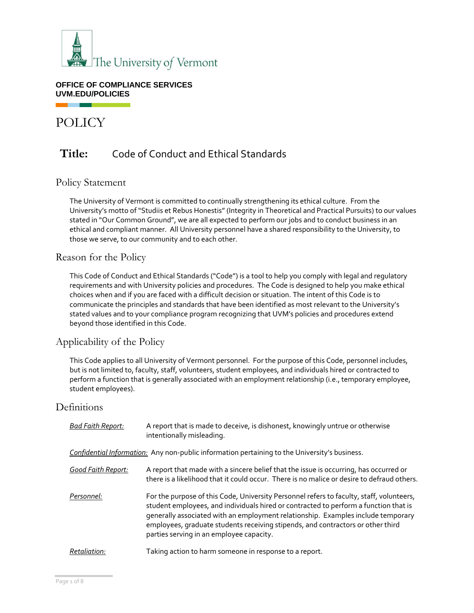

#### **OFFICE OF COMPLIANCE SERVICES UVM.EDU/POLICIES**

POLICY

# **Title:** Code of Conduct and Ethical Standards

## Policy Statement

The University of Vermont is committed to continually strengthening its ethical culture. From the University's motto of "Studiis et Rebus Honestis" (Integrity in Theoretical and Practical Pursuits) to our values stated in "[Our Common Ground](https://www.uvm.edu/president/our-common-ground)", we are all expected to perform our jobs and to conduct business in an ethical and compliant manner. All University personnel have a shared responsibility to the University, to those we serve, to our community and to each other.

## Reason for the Policy

This Code of Conduct and Ethical Standards ("Code") is a tool to help you comply with legal and regulatory requirements and with University policies and procedures. The Code is designed to help you make ethical choices when and if you are faced with a difficult decision or situation. The intent of this Code is to communicate the principles and standards that have been identified as most relevant to the University's stated values and to your compliance program recognizing that UVM's policies and procedures extend beyond those identified in this Code.

# Applicability of the Policy

This Code applies to all University of Vermont personnel. For the purpose of this Code, personnel includes, but is not limited to, faculty, staff, volunteers, student employees, and individuals hired or contracted to perform a function that is generally associated with an employment relationship (i.e., temporary employee, student employees).

## **Definitions**

| <b>Bad Faith Report:</b>  | A report that is made to deceive, is dishonest, knowingly untrue or otherwise<br>intentionally misleading.                                                                                                                                                                                                                                                                                          |  |  |
|---------------------------|-----------------------------------------------------------------------------------------------------------------------------------------------------------------------------------------------------------------------------------------------------------------------------------------------------------------------------------------------------------------------------------------------------|--|--|
|                           | <b>Confidential Information:</b> Any non-public information pertaining to the University's business.                                                                                                                                                                                                                                                                                                |  |  |
| <b>Good Faith Report:</b> | A report that made with a sincere belief that the issue is occurring, has occurred or<br>there is a likelihood that it could occur. There is no malice or desire to defraud others.                                                                                                                                                                                                                 |  |  |
| Personnel:                | For the purpose of this Code, University Personnel refers to faculty, staff, volunteers,<br>student employees, and individuals hired or contracted to perform a function that is<br>generally associated with an employment relationship. Examples include temporary<br>employees, graduate students receiving stipends, and contractors or other third<br>parties serving in an employee capacity. |  |  |
| Retaliation:              | Taking action to harm someone in response to a report.                                                                                                                                                                                                                                                                                                                                              |  |  |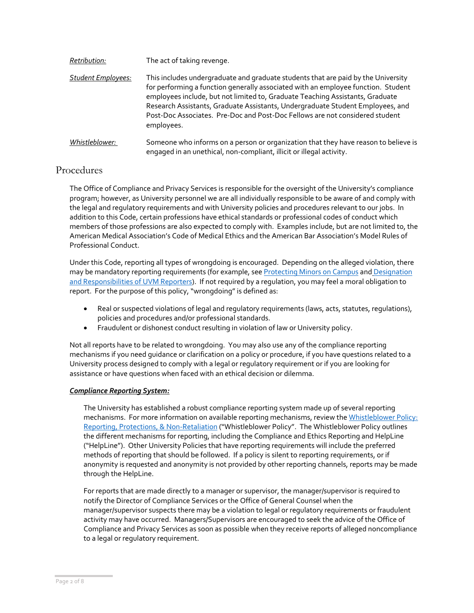| Retribution:              | The act of taking revenge.                                                                                                                                                                                                                                                                                                                                                                                                              |
|---------------------------|-----------------------------------------------------------------------------------------------------------------------------------------------------------------------------------------------------------------------------------------------------------------------------------------------------------------------------------------------------------------------------------------------------------------------------------------|
| <b>Student Employees:</b> | This includes undergraduate and graduate students that are paid by the University<br>for performing a function generally associated with an employee function. Student<br>employees include, but not limited to, Graduate Teaching Assistants, Graduate<br>Research Assistants, Graduate Assistants, Undergraduate Student Employees, and<br>Post-Doc Associates. Pre-Doc and Post-Doc Fellows are not considered student<br>employees. |
| Whistleblower:            | Someone who informs on a person or organization that they have reason to believe is<br>engaged in an unethical, non-compliant, illicit or illegal activity.                                                                                                                                                                                                                                                                             |

# Procedures

The Office of Compliance and Privacy Services is responsible for the oversight of the University's compliance program; however, as University personnel we are all individually responsible to be aware of and comply with the legal and regulatory requirements and with University policies and procedures relevant to our jobs. In addition to this Code, certain professions have ethical standards or professional codes of conduct which members of those professions are also expected to comply with. Examples include, but are not limited to, the American Medical Association's Code of Medical Ethics and the American Bar Association's Model Rules of Professional Conduct.

Under this Code, reporting all types of wrongdoing is encouraged. Depending on the alleged violation, there may be mandatory reporting requirements (for example, see [Protecting Minors on Campus](https://www.uvm.edu/sites/default/files/UVM-Policies/policies/protectminors.pdf) and [Designation](https://www.uvm.edu/sites/default/files/UVM-Policies/policies/campussecruity.pdf)  [and Responsibilities of UVM Reporters\)](https://www.uvm.edu/sites/default/files/UVM-Policies/policies/campussecruity.pdf). If not required by a regulation, you may feel a moral obligation to report. For the purpose of this policy, "wrongdoing" is defined as:

- Real or suspected violations of legal and regulatory requirements (laws, acts, statutes, regulations), policies and procedures and/or professional standards.
- Fraudulent or dishonest conduct resulting in violation of law or University policy.

Not all reports have to be related to wrongdoing. You may also use any of the compliance reporting mechanisms if you need guidance or clarification on a policy or procedure, if you have questions related to a University process designed to comply with a legal or regulatory requirement or if you are looking for assistance or have questions when faced with an ethical decision or dilemma.

#### *Compliance Reporting System:*

The University has established a robust compliance reporting system made up of several reporting mechanisms. For more information on available reporting mechanisms, review th[e Whistleblower Policy:](https://www.uvm.edu/sites/default/files/UVM-Policies/policies/whistleblower.pdf)  [Reporting, Protections, & Non-Retaliation](https://www.uvm.edu/sites/default/files/UVM-Policies/policies/whistleblower.pdf) ("Whistleblower Policy". The Whistleblower Policy outlines the different mechanisms for reporting, including the Compliance and Ethics Reporting and HelpLine ("HelpLine"). Other University Policies that have reporting requirements will include the preferred methods of reporting that should be followed. If a policy is silent to reporting requirements, or if anonymity is requested and anonymity is not provided by other reporting channels, reports may be made through the HelpLine.

For reports that are made directly to a manager or supervisor, the manager/supervisor is required to notify the Director of Compliance Services or the Office of General Counsel when the manager/supervisor suspects there may be a violation to legal or regulatory requirements or fraudulent activity may have occurred. Managers/Supervisors are encouraged to seek the advice of the Office of Compliance and Privacy Services as soon as possible when they receive reports of alleged noncompliance to a legal or regulatory requirement.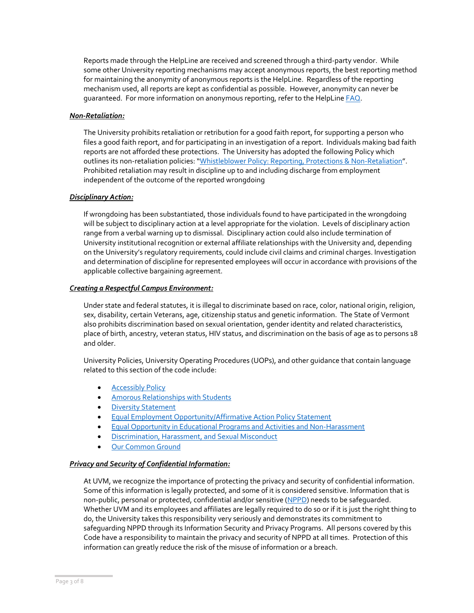Reports made through the HelpLine are received and screened through a third-party vendor. While some other University reporting mechanisms may accept anonymous reports, the best reporting method for maintaining the anonymity of anonymous reports is the HelpLine. Regardless of the reporting mechanism used, all reports are kept as confidential as possible. However, anonymity can never be guaranteed. For more information on anonymous reporting, refer to the HelpLine [FAQ.](http://www.uvm.edu/compliance/help_line_faq)

#### *Non-Retaliation:*

The University prohibits retaliation or retribution for a good faith report, for supporting a person who files a good faith report, and for participating in an investigation of a report. Individuals making bad faith reports are not afforded these protections. The University has adopted the following Policy which outlines its non-retaliation policies: "[Whistleblower Policy: Reporting, Protections & Non-Retaliation](https://www.uvm.edu/sites/default/files/UVM-Policies/policies/whistleblower.pdf)". Prohibited retaliation may result in discipline up to and including discharge from employment independent of the outcome of the reported wrongdoing

#### *Disciplinary Action:*

If wrongdoing has been substantiated, those individuals found to have participated in the wrongdoing will be subject to disciplinary action at a level appropriate for the violation. Levels of disciplinary action range from a verbal warning up to dismissal. Disciplinary action could also include termination of University institutional recognition or external affiliate relationships with the University and, depending on the University's regulatory requirements, could include civil claims and criminal charges. Investigation and determination of discipline for represented employees will occur in accordance with provisions of the applicable collective bargaining agreement.

#### *Creating a Respectful Campus Environment:*

Under state and federal statutes, it is illegal to discriminate based on race, color, national origin, religion, sex, disability, certain Veterans, age, citizenship status and genetic information. The State of Vermont also prohibits discrimination based on sexual orientation, gender identity and related characteristics, place of birth, ancestry, veteran status, HIV status, and discrimination on the basis of age as to persons 18 and older.

University Policies, University Operating Procedures (UOPs), and other guidance that contain language related to this section of the code include:

- [Accessibly Policy](https://www.uvm.edu/sites/default/files/UVM-Policies/policies/accessibility.pdf)
- [Amorous Relationships with Students](https://www.uvm.edu/sites/default/files/UVM-Policies/policies/student_relation.pdf)
- [Diversity Statement](https://www.uvm.edu/sites/default/files/UVM-Board-of-Trustees/policy_manual/VIII2b_diversity.pdf)
- [Equal Employment Opportunity/Affirmative Action Policy Statement](https://www.uvm.edu/sites/default/files/UVM-Policies/policies/affirm.pdf)
- [Equal Opportunity in Educational Programs and Activities and Non-Harassment](https://www.uvm.edu/sites/default/files/UVM-Policies/policies/equaledu.pdf)
- [Discrimination, Harassment, and Sexual Misconduct](https://www.uvm.edu/sites/default/files/UVM-Policies/policies/sexharass.pdf)
- [Our Common Ground](https://www.uvm.edu/president/our-common-ground)

#### *Privacy and Security of Confidential Information:*

At UVM, we recognize the importance of protecting the privacy and security of confidential information. Some of this information is legally protected, and some of it is considered sensitive. Information that is non-public, personal or protected, confidential and/or sensitive [\(NPPD\)](https://www.uvm.edu/sites/default/files/UVM-Policies/policies/privacy.pdf?t=r3sypq) needs to be safequarded. Whether UVM and its employees and affiliates are legally required to do so or if it is just the right thing to do, the University takes this responsibility very seriously and demonstrates its commitment to safeguarding NPPD through its Information Security and Privacy Programs. All persons covered by this Code have a responsibility to maintain the privacy and security of NPPD at all times. Protection of this information can greatly reduce the risk of the misuse of information or a breach.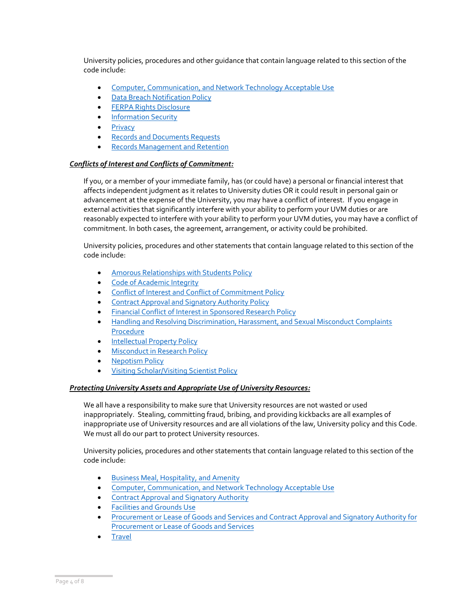University policies, procedures and other guidance that contain language related to this section of the code include:

- [Computer, Communication, and Network Technology Acceptable Use](https://www.uvm.edu/sites/default/files/UVM-Policies/policies/compuse.pdf)
- [Data Breach Notification Policy](https://www.uvm.edu/sites/default/files/UVM-Policies/policies/databreach.pdf)
- [FERPA Rights Disclosure](https://www.uvm.edu/sites/default/files/UVM-Policies/policies/ferpa.pdf)
- [Information Security](https://www.uvm.edu/sites/default/files/UVM-Policies/policies/infosecurity.pdf)
- [Privacy](https://www.uvm.edu/sites/default/files/UVM-Policies/policies/privacy.pdf)
- [Records and Documents Requests](https://www.uvm.edu/sites/default/files/UVM-Policies/policies/records_request.pdf)
- [Records Management and Retention](https://www.uvm.edu/sites/default/files/UVM-Policies/policies/recordretention.pdf)

#### *Conflicts of Interest and Conflicts of Commitment:*

If you, or a member of your immediate family, has (or could have) a personal or financial interest that affects independent judgment as it relates to University duties OR it could result in personal gain or advancement at the expense of the University, you may have a conflict of interest. If you engage in external activities that significantly interfere with your ability to perform your UVM duties or are reasonably expected to interfere with your ability to perform your UVM duties, you may have a conflict of commitment. In both cases, the agreement, arrangement, or activity could be prohibited.

University policies, procedures and other statements that contain language related to this section of the code include:

- [Amorous Relationships with Students Policy](https://www.uvm.edu/sites/default/files/UVM-Policies/policies/student_relation.pdf)
- [Code of Academic Integrity](https://www.uvm.edu/sites/default/files/UVM-Policies/policies/acadintegrity.pdf)
- [Conflict of Interest and Conflict of Commitment Policy](https://www.uvm.edu/sites/default/files/UVM-Policies/policies/conflictinterest.pdf)
- [Contract Approval and Signatory Authority Policy](https://www.uvm.edu/sites/default/files/UVM-Policies/policies/contract.pdf)
- [Financial Conflict of Interest in Sponsored Research Policy](https://www.uvm.edu/sites/default/files/UVM-Policies/policies/researchcoi.pdf)
- [Handling and Resolving Discrimination, Harassment, and Sexual Misconduct Complaints](https://www.uvm.edu/sites/default/files/UVM-Policies/policies/discrimcomplaints.pdf) [Procedure](https://www.uvm.edu/sites/default/files/UVM-Policies/policies/discrimcomplaints.pdf)
- [Intellectual Property Policy](https://www.uvm.edu/sites/default/files/UVM-Policies/policies/intellectualproperty.pdf)
- [Misconduct in Research Policy](https://www.uvm.edu/sites/default/files/UVM-Policies/policies/researchmisconduct.pdf)
- [Nepotism Policy](https://www.uvm.edu/sites/default/files/UVM-Policies/policies/nepotism.pdf)
- [Visiting Scholar/Visiting Scientist Policy](https://www.uvm.edu/sites/default/files/UVM-Policies/policies/visiting_scholar_visiting_scientist.pdf)

#### *Protecting University Assets and Appropriate Use of University Resources:*

We all have a responsibility to make sure that University resources are not wasted or used inappropriately. Stealing, committing fraud, bribing, and providing kickbacks are all examples of inappropriate use of University resources and are all violations of the law, University policy and this Code. We must all do our part to protect University resources.

University policies, procedures and other statements that contain language related to this section of the code include:

- [Business Meal, Hospitality, and Amenity](https://www.uvm.edu/sites/default/files/UVM-Policies/policies/businessmeals.pdf)
- [Computer, Communication, and Network](https://www.uvm.edu/sites/default/files/UVM-Policies/policies/compuse.pdf) Technology Acceptable Use
- [Contract Approval and Signatory Authority](https://www.uvm.edu/sites/default/files/UVM-Policies/policies/contract.pdf)
- [Facilities and Grounds Use](https://www.uvm.edu/sites/default/files/UVM-Policies/policies/facsched.pdf)
- [Procurement or Lease of Goods and Services and Contract Approval and Signatory Authority for](https://www.uvm.edu/sites/default/files/UVM-Policies/policies/procurement.pdf) [Procurement or Lease of Goods and Services](https://www.uvm.edu/sites/default/files/UVM-Policies/policies/procurement.pdf)
- **[Travel](https://www.uvm.edu/sites/default/files/UVM-Policies/policies/travel.pdf)**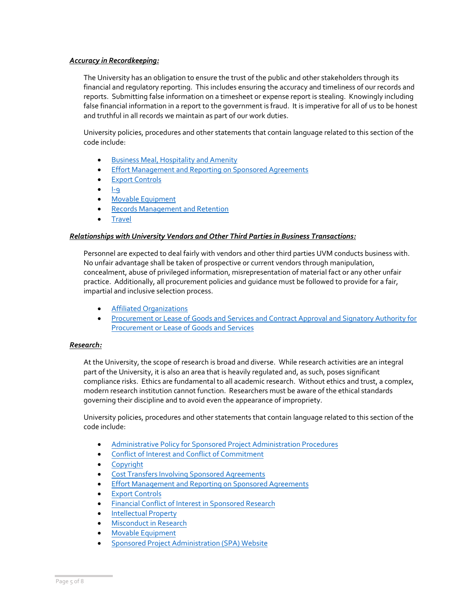#### *Accuracy in Recordkeeping:*

The University has an obligation to ensure the trust of the public and other stakeholders through its financial and regulatory reporting. This includes ensuring the accuracy and timeliness of our records and reports. Submitting false information on a timesheet or expense report is stealing. Knowingly including false financial information in a report to the government is fraud. It is imperative for all of us to be honest and truthful in all records we maintain as part of our work duties.

University policies, procedures and other statements that contain language related to this section of the code include:

- [Business Meal, Hospitality and Amenity](https://www.uvm.edu/sites/default/files/UVM-Policies/policies/businessmeals.pdf)
- [Effort Management and Reporting on Sponsored Agreements](https://www.uvm.edu/sites/default/files/UVM-Policies/policies/effortreporting.pdf)
- [Export Controls](https://www.uvm.edu/sites/default/files/UVM-Policies/policies/export.pdf)
- $\bullet$   $\bullet$
- [Movable Equipment](https://www.uvm.edu/sites/default/files/UVM-Policies/policies/movable_equipment.pdf)
- [Records Management and Retention](https://www.uvm.edu/sites/default/files/UVM-Policies/policies/recordretention.pdf)
- **[Travel](https://www.uvm.edu/sites/default/files/UVM-Policies/policies/travel.pdf)**

#### *Relationships with University Vendors and Other Third Parties in Business Transactions:*

Personnel are expected to deal fairly with vendors and other third parties UVM conducts business with. No unfair advantage shall be taken of prospective or current vendors through manipulation, concealment, abuse of privileged information, misrepresentation of material fact or any other unfair practice. Additionally, all procurement policies and guidance must be followed to provide for a fair, impartial and inclusive selection process.

- [Affiliated Organizations](https://www.uvm.edu/sites/default/files/UVM-Policies/policies/affiliated_organizations.pdf)
- [Procurement or Lease of Goods and Services and Contract Approval and Signatory Authority for](https://www.uvm.edu/sites/default/files/UVM-Policies/policies/procurement.pdf) [Procurement or Lease of Goods and Services](https://www.uvm.edu/sites/default/files/UVM-Policies/policies/procurement.pdf)

#### *Research:*

At the University, the scope of research is broad and diverse. While research activities are an integral part of the University, it is also an area that is heavily regulated and, as such, poses significant compliance risks. Ethics are fundamental to all academic research. Without ethics and trust, a complex, modern research institution cannot function. Researchers must be aware of the ethical standards governing their discipline and to avoid even the appearance of impropriety.

University policies, procedures and other statements that contain language related to this section of the code include:

- [Administrative Policy for Sponsored Project Administration Procedures](https://www.uvm.edu/sites/default/files/UVM-Policies/policies/SPAprocedures.pdf)
- Conflict of Interest and [Conflict of Commitment](https://www.uvm.edu/sites/default/files/UVM-Policies/policies/conflictinterest.pdf)
- [Copyright](https://www.uvm.edu/sites/default/files/UVM-Policies/policies/copyright.pdf)
- [Cost Transfers Involving Sponsored Agreements](https://www.uvm.edu/sites/default/files/UVM-Policies/policies/costtrans.pdf)
- **[Effort Management and Reporting on Sponsored Agreements](https://www.uvm.edu/sites/default/files/UVM-Policies/policies/effortreporting.pdf)**
- [Export Controls](https://www.uvm.edu/sites/default/files/UVM-Policies/policies/export.pdf)
- [Financial Conflict of Interest in Sponsored Research](https://www.uvm.edu/sites/default/files/UVM-Policies/policies/researchcoi.pdf)
- [Intellectual Property](https://www.uvm.edu/sites/default/files/UVM-Policies/policies/intellectualproperty.pdf)
- [Misconduct in Research](https://www.uvm.edu/sites/default/files/UVM-Policies/policies/researchmisconduct.pdf)
- [Movable Equipment](https://www.uvm.edu/sites/default/files/UVM-Policies/policies/movable_equipment.pdf)
- [Sponsored Project Administration \(SPA\) Website](http://www.uvm.edu/spa/)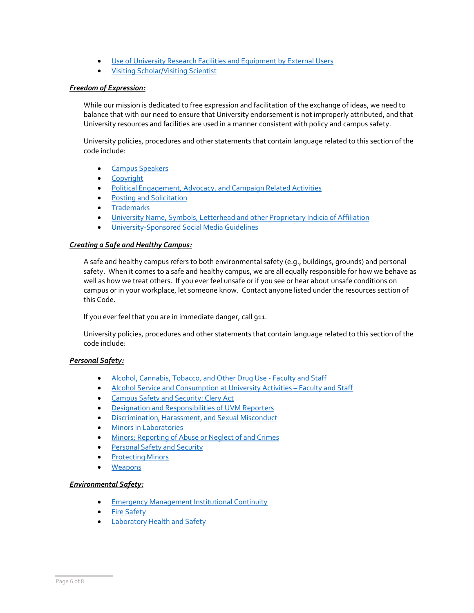- [Use of University Research Facilities and Equipment by External Users](https://www.uvm.edu/sites/default/files/UVM-Policies/policies/researchfacil.pdf)
- [Visiting Scholar/Visiting Scientist](https://www.uvm.edu/sites/default/files/UVM-Policies/policies/visiting_scholar_visiting_scientist.pdf)

#### *Freedom of Expression:*

While our mission is dedicated to free expression and facilitation of the exchange of ideas, we need to balance that with our need to ensure that University endorsement is not improperly attributed, and that University resources and facilities are used in a manner consistent with policy and campus safety.

University policies, procedures and other statements that contain language related to this section of the code include:

- [Campus Speakers](https://www.uvm.edu/sites/default/files/UVM-Policies/policies/campus_speaker.pdf)
- [Copyright](https://www.uvm.edu/sites/default/files/UVM-Policies/policies/copyright.pdf)
- [Political Engagement, Advocacy, and Campaign Related Activities](https://www.uvm.edu/sites/default/files/UVM-Policies/policies/political_activity.pdf)
- [Posting and Solicitation](https://www.uvm.edu/sites/default/files/UVM-Policies/policies/solicitation.pdf)
- [Trademarks](https://www.uvm.edu/sites/default/files/UVM-Policies/policies/trademark.pdf)
- [University Name, Symbols, Letterhead and other Proprietary Indicia of Affiliation](https://www.uvm.edu/sites/default/files/UVM-Policies/policies/letterhead.pdf)
- [University-Sponsored Social Media Guidelines](https://www.uvm.edu/sites/default/files/UVM-Today/UVM-2021-SocialGuidelines.pdf)

#### *Creating a Safe and Healthy Campus:*

A safe and healthy campus refers to both environmental safety (e.g., buildings, grounds) and personal safety. When it comes to a safe and healthy campus, we are all equally responsible for how we behave as well as how we treat others. If you ever feel unsafe or if you see or hear about unsafe conditions on campus or in your workplace, let someone know. Contact anyone listed under the resources section of this Code.

If you ever feel that you are in immediate danger, call 911.

University policies, procedures and other statements that contain language related to this section of the code include:

#### *Personal Safety:*

- [Alcohol, Cannabis, Tobacco, and Other Drug Use -](https://www.uvm.edu/sites/default/files/UVM-Policies/policies/drugfreeworkplace.pdf) Faculty and Staff
- [Alcohol Service and Consumption at University Activities](https://www.uvm.edu/sites/default/files/UVM-Policies/policies/alcohol_employees.pdf)  Faculty and Staff
- [Campus Safety and Security: Clery Act](https://www.uvm.edu/sites/default/files/UVM-Policies/policies/clery.pdf)
- [Designation and Responsibilities of UVM Reporters](https://www.uvm.edu/sites/default/files/UVM-Policies/policies/campussecruity.pdf)
- [Discrimination, Harassment, and Sexual Misconduct](https://www.uvm.edu/sites/default/files/UVM-Policies/policies/sexharass.pdf)
- [Minors in Laboratories](https://www.uvm.edu/sites/default/files/UVM-Policies/policies/minorslab.pdf)
- [Minors; Reporting of Abuse or Neglect of and Crimes](https://www.uvm.edu/sites/default/files/UVM-Policies/policies/abuse_minors.pdf)
- [Personal Safety and Security](https://www.uvm.edu/sites/default/files/UVM-Policies/policies/personalsafety.pdf)
- [Protecting Minors](https://www.uvm.edu/sites/default/files/UVM-Policies/policies/protectminors.pdf)
- [Weapons](https://www.uvm.edu/sites/default/files/UVM-Policies/policies/firearms.pdf)

#### *Environmental Safety:*

- [Emergency Management Institutional Continuity](https://www.uvm.edu/sites/default/files/UVM-Policies/policies/emergency.pdf)
- [Fire Safety](https://www.uvm.edu/sites/default/files/UVM-Policies/policies/firesafety.pdf)
- [Laboratory Health and Safety](https://www.uvm.edu/sites/default/files/UVM-Policies/policies/labsafety.pdf)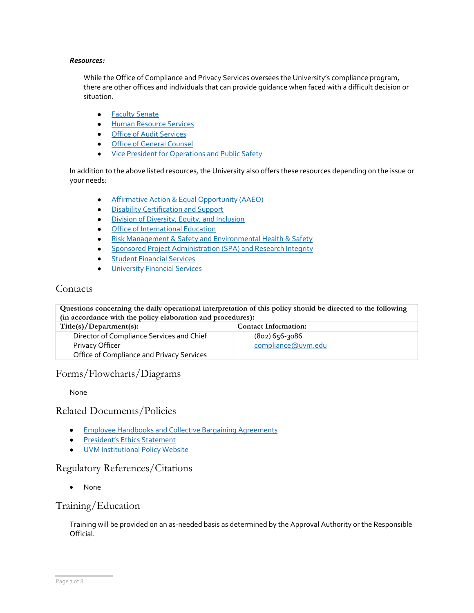#### *Resources:*

While the Office of Compliance and Privacy Services oversees the University's compliance program, there are other offices and individuals that can provide guidance when faced with a difficult decision or situation.

- [Faculty Senate](http://www.uvm.edu/faculty_senate)
- [Human Resource Services](http://www.uvm.edu/hrs/)
- [Office of Audit Services](http://www.uvm.edu/audit)
- [Office of General Counsel](https://www.uvm.edu/generalcounsel)
- [Vice President for Operations and Public Safety](https://www.uvm.edu/president/vice-president-operations-and-public-safety)

In addition to the above listed resources, the University also offers these resources depending on the issue or your needs:

- [Affirmative Action & Equal Opportunity \(AAEO\)](http://www.uvm.edu/aaeo)
- [Disability Certification and Support](https://www.uvm.edu/aaeo/americans-disabilities-act-ada-and-reasonable-accommodations-employees)
- [Division of Diversity, Equity, and Inclusion](https://www.uvm.edu/diversity)
- [Office of International Education](http://www.uvm.edu/oie/)
- [Risk Management & Safety](https://www.uvm.edu/riskmanagement) and [Environmental Health & Safety](https://www.uvm.edu/riskmanagement/safety)
- [Sponsored Project Administration \(SPA\)](http://www.uvm.edu/spa/) an[d Research Integrity](https://www.uvm.edu/ovpr/research-integrity)
- [Student Financial Services](http://www.uvm.edu/studentfinancialservices)
- [University Financial Services](https://www.uvm.edu/finance)

# Contacts

**Questions concerning the daily operational interpretation of this policy should be directed to the following (in accordance with the policy elaboration and procedures): Title(s)/Department(s): Contact Information:** Director of Compliance Services and Chief Privacy Officer Office of Compliance and Privacy Services (802) 656-3086 [compliance@uvm.edu](mailto:compliance@uvm.edu)

# Forms/Flowcharts/Diagrams

None

## Related Documents/Policies

- [Employee Handbooks and Collective Bargaining Agreements](https://www.uvm.edu/hrs/handbooks-policies)
- [President's Ethics](https://www.uvm.edu/president/presidents-ethics-statement) Statement
- [UVM Institutional Policy Website](http://www.uvm.edu/policies/)

# Regulatory References/Citations

• None

## Training/Education

Training will be provided on an as-needed basis as determined by the Approval Authority or the Responsible Official.